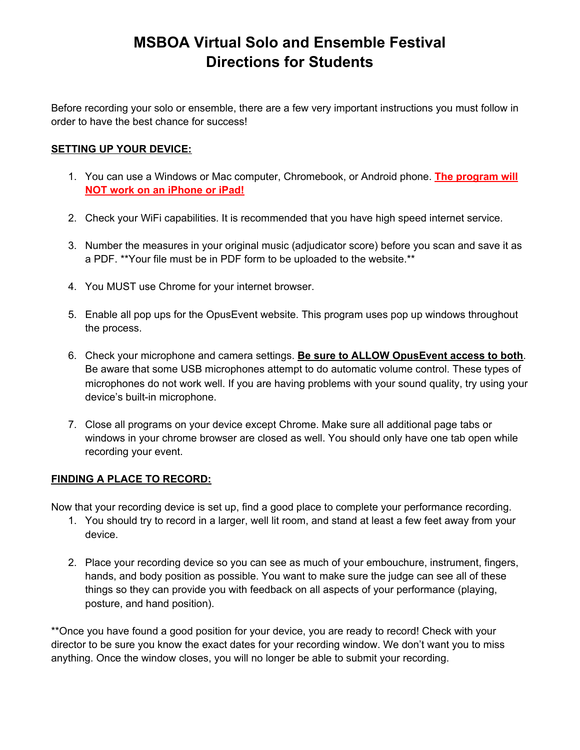# **MSBOA Virtual Solo and Ensemble Festival Directions for Students**

Before recording your solo or ensemble, there are a few very important instructions you must follow in order to have the best chance for success!

### **SETTING UP YOUR DEVICE:**

- 1. You can use a Windows or Mac computer, Chromebook, or Android phone. **The program will NOT work on an iPhone or iPad!**
- 2. Check your WiFi capabilities. It is recommended that you have high speed internet service.
- 3. Number the measures in your original music (adjudicator score) before you scan and save it as a PDF. \*\*Your file must be in PDF form to be uploaded to the website.\*\*
- 4. You MUST use Chrome for your internet browser.
- 5. Enable all pop ups for the OpusEvent website. This program uses pop up windows throughout the process.
- 6. Check your microphone and camera settings. **Be sure to ALLOW OpusEvent access to both**. Be aware that some USB microphones attempt to do automatic volume control. These types of microphones do not work well. If you are having problems with your sound quality, try using your device's built-in microphone.
- 7. Close all programs on your device except Chrome. Make sure all additional page tabs or windows in your chrome browser are closed as well. You should only have one tab open while recording your event.

## **FINDING A PLACE TO RECORD:**

Now that your recording device is set up, find a good place to complete your performance recording.

- 1. You should try to record in a larger, well lit room, and stand at least a few feet away from your device.
- 2. Place your recording device so you can see as much of your embouchure, instrument, fingers, hands, and body position as possible. You want to make sure the judge can see all of these things so they can provide you with feedback on all aspects of your performance (playing, posture, and hand position).

\*\*Once you have found a good position for your device, you are ready to record! Check with your director to be sure you know the exact dates for your recording window. We don't want you to miss anything. Once the window closes, you will no longer be able to submit your recording.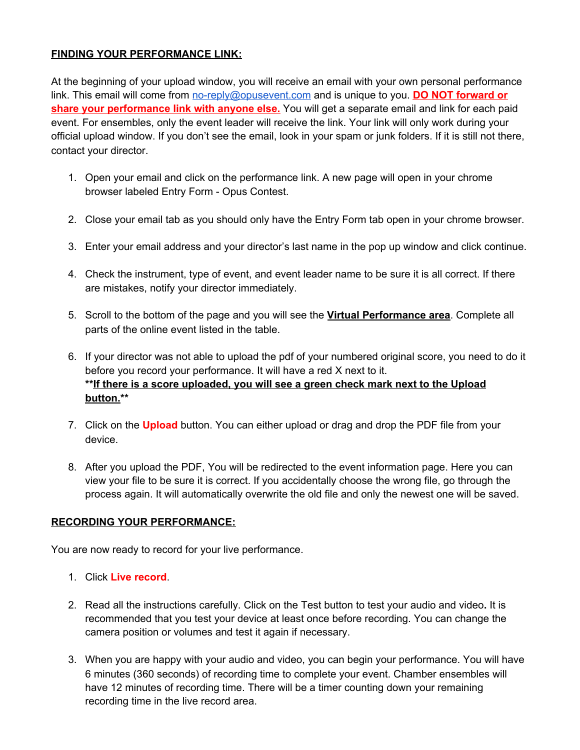## **FINDING YOUR PERFORMANCE LINK:**

At the beginning of your upload window, you will receive an email with your own personal performance link. This email will come from [no-reply@opusevent.com](mailto:no-reply@opusevent.com) and is unique to you. **DO NOT forward or share your performance link with anyone else.** You will get a separate email and link for each paid event. For ensembles, only the event leader will receive the link. Your link will only work during your official upload window. If you don't see the email, look in your spam or junk folders. If it is still not there, contact your director.

- 1. Open your email and click on the performance link. A new page will open in your chrome browser labeled Entry Form - Opus Contest.
- 2. Close your email tab as you should only have the Entry Form tab open in your chrome browser.
- 3. Enter your email address and your director's last name in the pop up window and click continue.
- 4. Check the instrument, type of event, and event leader name to be sure it is all correct. If there are mistakes, notify your director immediately.
- 5. Scroll to the bottom of the page and you will see the **Virtual Performance area**. Complete all parts of the online event listed in the table.
- 6. If your director was not able to upload the pdf of your numbered original score, you need to do it before you record your performance. It will have a red X next to it. **\*\*If there is a score uploaded, you will see a green check mark next to the Upload button.\*\***
- 7. Click on the **Upload** button. You can either upload or drag and drop the PDF file from your device.
- 8. After you upload the PDF, You will be redirected to the event information page. Here you can view your file to be sure it is correct. If you accidentally choose the wrong file, go through the process again. It will automatically overwrite the old file and only the newest one will be saved.

#### **RECORDING YOUR PERFORMANCE:**

You are now ready to record for your live performance.

- 1. Click **Live record**.
- 2. Read all the instructions carefully. Click on the Test button to test your audio and video**.** It is recommended that you test your device at least once before recording. You can change the camera position or volumes and test it again if necessary.
- 3. When you are happy with your audio and video, you can begin your performance. You will have 6 minutes (360 seconds) of recording time to complete your event. Chamber ensembles will have 12 minutes of recording time. There will be a timer counting down your remaining recording time in the live record area.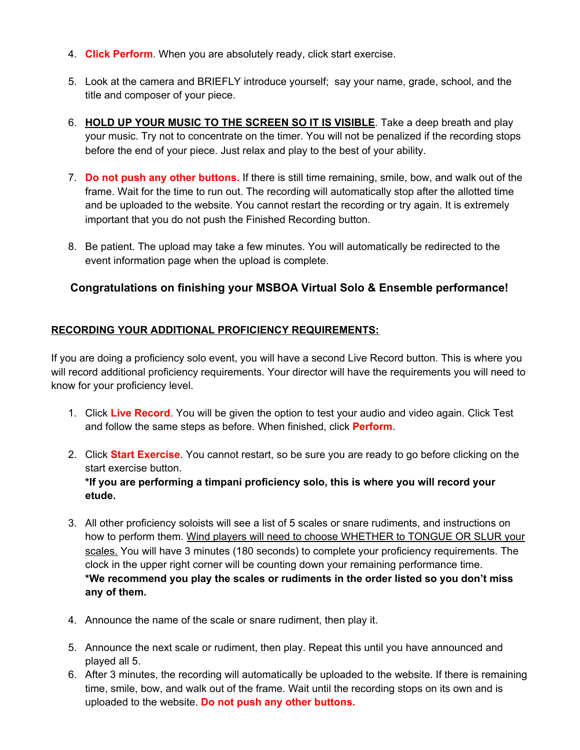- 4. **Click Perform**. When you are absolutely ready, click start exercise.
- 5. Look at the camera and BRIEFLY introduce yourself; say your name, grade, school, and the title and composer of your piece.
- 6. **HOLD UP YOUR MUSIC TO THE SCREEN SO IT IS VISIBLE**. Take a deep breath and play your music. Try not to concentrate on the timer. You will not be penalized if the recording stops before the end of your piece. Just relax and play to the best of your ability.
- 7. **Do not push any other buttons.** If there is still time remaining, smile, bow, and walk out of the frame. Wait for the time to run out. The recording will automatically stop after the allotted time and be uploaded to the website. You cannot restart the recording or try again. It is extremely important that you do not push the Finished Recording button.
- 8. Be patient. The upload may take a few minutes. You will automatically be redirected to the event information page when the upload is complete.

# **Congratulations on finishing your MSBOA Virtual Solo & Ensemble performance!**

## **RECORDING YOUR ADDITIONAL PROFICIENCY REQUIREMENTS:**

If you are doing a proficiency solo event, you will have a second Live Record button. This is where you will record additional proficiency requirements. Your director will have the requirements you will need to know for your proficiency level.

- 1. Click **Live Record**. You will be given the option to test your audio and video again. Click Test and follow the same steps as before. When finished, click **Perform**.
- 2. Click **Start Exercise**. You cannot restart, so be sure you are ready to go before clicking on the start exercise button. **\*If you are performing a timpani proficiency solo, this is where you will record your etude.**
- 3. All other proficiency soloists will see a list of 5 scales or snare rudiments, and instructions on how to perform them. Wind players will need to choose WHETHER to TONGUE OR SLUR your scales. You will have 3 minutes (180 seconds) to complete your proficiency requirements. The clock in the upper right corner will be counting down your remaining performance time. **\*We recommend you play the scales or rudiments in the order listed so you don't miss any of them.**
- 4. Announce the name of the scale or snare rudiment, then play it.
- 5. Announce the next scale or rudiment, then play. Repeat this until you have announced and played all 5.
- 6. After 3 minutes, the recording will automatically be uploaded to the website. If there is remaining time, smile, bow, and walk out of the frame. Wait until the recording stops on its own and is uploaded to the website. **Do not push any other buttons.**